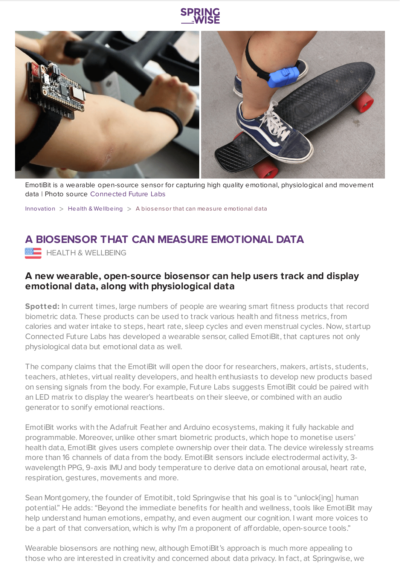

EmotiBit is a wearable open-source sensor for capturing high quality emotional, physiological and movement data | Photo source [Connected](https://bit.ly/3uqSEIs) Future Labs

[Innovation](https://www.springwise.com/search?type=innovation)  $>$  Health & [Wellbeing](https://www.springwise.com/search?type=innovation§or=health-wellbeing)  $>$  A biosensor that can measure emotional data

# **A BIOSENSOR THAT CAN MEASURE EMOTIONAL DATA**

**HEALTH & WELLBEING** 

## **A new wearable, open-source biosensor can help users track and display emotional data, along with physiological data**

**Spotted:** In current times, large numbers of people are wearing smart fitness products that record biometric data. These products can be used to track various health and fitness metrics, from calories and water intake to steps, heart rate, sleep cycles and even menstrual cycles. Now, startup Connected Future Labs has developed a wearable sensor, called EmotiBit, that captures not only physiological data but emotional data as well.

The company claims that the EmotiBit will open the door for researchers, makers, artists, students, teachers, athletes, virtual reality developers, and health enthusiasts to develop new products based on sensing signals from the body. For example, Future Labs suggests EmotiBit could be paired with an LED matrix to display the wearer's heartbeats on their sleeve, or combined with an audio generator to sonify emotional reactions.

EmotiBit works with the Adafruit Feather and Arduino ecosystems, making it fully hackable and programmable. Moreover, unlike other smart biometric products, which hope to monetise users' health data, EmotiBit gives users complete ownership over their data. The device wirelessly streams more than 16 channels of data from the body. EmotiBit sensors include electrodermal activity, 3 wavelength PPG, 9-axis IMU and body temperature to derive data on emotional arousal, heart rate, respiration, gestures, movements and more.

Sean Montgomery, the founder of Emotibit, told Springwise that his goal is to "unlock[ing] human potential." He adds: "Beyond the immediate benefits for health and wellness, tools like EmotiBit may help understand human emotions, empathy, and even augment our cognition. I want more voices to be a part of that conversation, which is why I'm a proponent of affordable, open-source tools."

Wearable biosensors are nothing new, although EmotiBit's approach is much more appealing to those who are interested in creativity and concerned about data privacy. In fact, at Springwise, we